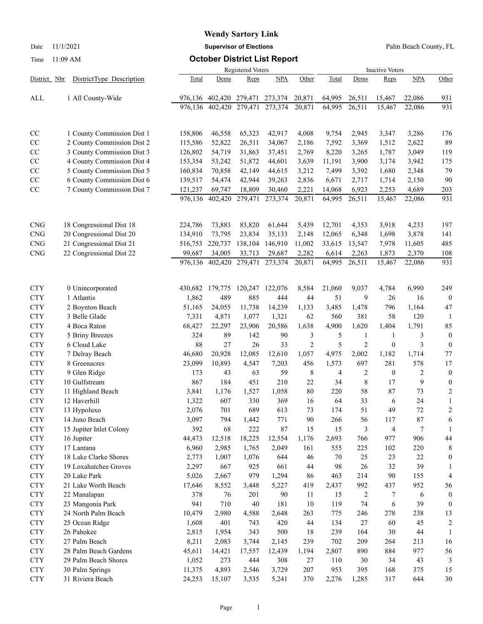# **Wendy Sartory Link**

Date 11/1/2021 **Supervisor of Elections** Palm Beach County, FL

#### Time 11:09 AM **October District List Report**

|                             |                              |              | <b>Inactive Voters</b> |              |            |                |            |                |                  |              |                         |
|-----------------------------|------------------------------|--------------|------------------------|--------------|------------|----------------|------------|----------------|------------------|--------------|-------------------------|
| District Nbr                | DistrictType Description     | Total        | Dems                   | Reps         | <b>NPA</b> | Other          | Total      | Dems           | Reps             | <b>NPA</b>   | Other                   |
| ALL                         | 1 All County-Wide            | 976,136      | 402,420                | 279,471      | 273,374    | 20,871         | 64,995     | 26,511         | 15,467           | 22,086       | 931                     |
|                             |                              | 976,136      | 402,420                | 279,471      | 273,374    | 20,871         | 64,995     | 26,511         | 15,467           | 22,086       | 931                     |
| CC                          | 1 County Commission Dist 1   | 158,806      | 46,558                 | 65,323       | 42,917     | 4,008          | 9,754      | 2,945          | 3,347            | 3,286        | 176                     |
| CC                          | 2 County Commission Dist 2   | 115,586      | 52,822                 | 26,511       | 34,067     | 2,186          | 7,592      | 3,369          | 1,512            | 2,622        | 89                      |
| CC                          | 3 County Commission Dist 3   | 126,802      | 54,719                 | 31,863       | 37,451     | 2,769          | 8,220      | 3,265          | 1,787            | 3,049        | 119                     |
| CC                          | 4 County Commission Dist 4   | 153,354      | 53,242                 | 51,872       | 44,601     | 3,639          | 11,191     | 3,900          | 3,174            | 3,942        | 175                     |
| $\rm CC$                    | 5 County Commission Dist 5   | 160,834      | 70,858                 | 42,149       | 44,615     | 3,212          | 7,499      | 3,392          | 1,680            | 2,348        | 79                      |
| $\rm CC$                    | 6 County Commission Dist 6   | 139,517      | 54,474                 | 42,944       | 39,263     | 2,836          | 6,671      | 2,717          | 1,714            | 2,150        | 90                      |
| $\rm CC$                    | 7 County Commission Dist 7   | 121,237      | 69,747                 | 18,809       | 30,460     | 2,221          | 14,068     | 6,923          | 2,253            | 4,689        | 203                     |
|                             |                              | 976,136      | 402,420                | 279,471      | 273,374    | 20,871         | 64,995     | 26,511         | 15,467           | 22,086       | 931                     |
| <b>CNG</b>                  | 18 Congressional Dist 18     | 224,786      | 73,883                 | 83,820       | 61,644     | 5,439          | 12,701     | 4,353          | 3,918            | 4,233        | 197                     |
| $\ensuremath{\mathrm{CNG}}$ | 20 Congressional Dist 20     | 134,910      | 73,795                 | 23,834       | 35,133     | 2,148          | 12,065     | 6,348          | 1,698            | 3,878        | 141                     |
| $\ensuremath{\mathrm{CNG}}$ | 21 Congressional Dist 21     | 516,753      | 220,737                | 138,104      | 146,910    | 11,002         | 33,615     | 13,547         | 7,978            | 11,605       | 485                     |
| $\ensuremath{\mathrm{CNG}}$ | 22 Congressional Dist 22     | 99,687       | 34,005                 | 33,713       | 29,687     | 2,282          | 6,614      | 2,263          | 1,873            | 2,370        | 108                     |
|                             |                              | 976,136      | 402,420                | 279,471      | 273,374    | 20,871         | 64,995     | 26,511         | 15,467           | 22,086       | 931                     |
| <b>CTY</b>                  | 0 Unincorporated             | 430,682      | 179,775                | 120,247      | 122,076    | 8,584          | 21,060     | 9,037          | 4,784            | 6,990        | 249                     |
| <b>CTY</b>                  | 1 Atlantis                   | 1,862        | 489                    | 885          | 444        | 44             | 51         | 9              | 26               | 16           | $\boldsymbol{0}$        |
| <b>CTY</b>                  | 2 Boynton Beach              | 51,165       | 24,055                 | 11,738       | 14,239     | 1,133          | 3,485      | 1,478          | 796              | 1,164        | 47                      |
| <b>CTY</b>                  | 3 Belle Glade                | 7,331        | 4,871                  | 1,077        | 1,321      | 62             | 560        | 381            | 58               | 120          | -1                      |
| <b>CTY</b>                  | 4 Boca Raton                 | 68,427       | 22,297                 | 23,906       | 20,586     | 1,638          | 4,900      | 1,620          | 1,404            | 1,791        | 85                      |
| <b>CTY</b>                  | 5 Briny Breezes              | 324          | 89                     | 142          | 90         | 3              | 5          | 1              | 1                | 3            | $\boldsymbol{0}$        |
| <b>CTY</b>                  | 6 Cloud Lake                 | 88           | 27                     | 26           | 33         | $\overline{c}$ | 5          | $\overline{2}$ | $\boldsymbol{0}$ | 3            | $\boldsymbol{0}$        |
| <b>CTY</b>                  | 7 Delray Beach               | 46,680       | 20,928                 | 12,085       | 12,610     | 1,057          | 4,975      | 2,002          | 1,182            | 1,714        | 77                      |
| <b>CTY</b>                  | 8 Greenacres                 | 23,099       | 10,893                 | 4,547        | 7,203      | 456            | 1,573      | 697            | 281              | 578          | 17                      |
| <b>CTY</b>                  | 9 Glen Ridge                 | 173          | 43                     | 63           | 59         | 8              | 4          | 2              | $\theta$         | 2            | $\boldsymbol{0}$        |
| <b>CTY</b>                  | 10 Gulfstream                | 867          | 184                    | 451          | 210        | 22             | 34         | 8              | 17               | 9            | $\boldsymbol{0}$        |
| <b>CTY</b>                  | 11 Highland Beach            | 3,841        | 1,176                  | 1,527        | 1,058      | 80             | 220        | 58             | 87               | 73           | $\overline{\mathbf{c}}$ |
| <b>CTY</b>                  | 12 Haverhill                 | 1,322        | 607                    | 330          | 369        | 16             | 64         | 33             | 6                | 24           | 1                       |
| <b>CTY</b>                  | 13 Hypoluxo<br>14 Juno Beach | 2,076        | 701                    | 689          | 613        | 73<br>90       | 174<br>266 | 51<br>56       | 49               | 72<br>$87\,$ | $\overline{c}$<br>6     |
| <b>CTY</b><br><b>CTY</b>    | 15 Jupiter Inlet Colony      | 3,097<br>392 | 794<br>68              | 1,442<br>222 | 771<br>87  | 15             | 15         | 3              | 117<br>4         | 7            | 1                       |
| <b>CTY</b>                  | 16 Jupiter                   | 44,473       | 12,518                 | 18,225       | 12,554     | 1,176          | 2,693      | 766            | 977              | 906          | 44                      |
| <b>CTY</b>                  | 17 Lantana                   | 6,960        | 2,985                  | 1,765        | 2,049      | 161            | 555        | 225            | 102              | 220          | 8                       |
| <b>CTY</b>                  | 18 Lake Clarke Shores        | 2,773        | 1,007                  | 1,076        | 644        | 46             | 70         | 25             | 23               | 22           | $\mathbf{0}$            |
| <b>CTY</b>                  | 19 Loxahatchee Groves        | 2,297        | 667                    | 925          | 661        | 44             | 98         | 26             | 32               | 39           | 1                       |
| <b>CTY</b>                  | 20 Lake Park                 | 5,026        | 2,667                  | 979          | 1,294      | 86             | 463        | 214            | 90               | 155          | 4                       |
| <b>CTY</b>                  | 21 Lake Worth Beach          | 17,646       | 8,552                  | 3,448        | 5,227      | 419            | 2,437      | 992            | 437              | 952          | 56                      |
| <b>CTY</b>                  | 22 Manalapan                 | 378          | 76                     | 201          | 90         | 11             | 15         | 2              | 7                | 6            | $\theta$                |
| <b>CTY</b>                  | 23 Mangonia Park             | 941          | 710                    | 40           | 181        | 10             | 119        | 74             | 6                | 39           | $\mathbf{0}$            |
| <b>CTY</b>                  | 24 North Palm Beach          | 10,479       | 2,980                  | 4,588        | 2,648      | 263            | 775        | 246            | 278              | 238          | 13                      |
| ${\rm CTY}$                 | 25 Ocean Ridge               | 1,608        | 401                    | 743          | 420        | 44             | 134        | 27             | 60               | 45           | $\overline{c}$          |
| <b>CTY</b>                  | 26 Pahokee                   | 2,815        | 1,954                  | 343          | 500        | 18             | 239        | 164            | $30\,$           | 44           | $\overline{1}$          |
| ${\rm CTY}$                 | 27 Palm Beach                | 8,211        | 2,083                  | 3,744        | 2,145      | 239            | 702        | 209            | 264              | 213          | 16                      |
| <b>CTY</b>                  | 28 Palm Beach Gardens        | 45,611       | 14,421                 | 17,557       | 12,439     | 1,194          | 2,807      | 890            | 884              | 977          | 56                      |
| ${\rm CTY}$                 | 29 Palm Beach Shores         | 1,052        | 273                    | 444          | 308        | 27             | 110        | 30             | 34               | 43           | 3                       |
| <b>CTY</b>                  | 30 Palm Springs              | 11,375       | 4,893                  | 2,546        | 3,729      | 207            | 953        | 395            | 168              | 375          | 15                      |
| <b>CTY</b>                  | 31 Riviera Beach             | 24,253       | 15,107                 | 3,535        | 5,241      | 370            | 2,276      | 1,285          | 317              | 644          | 30                      |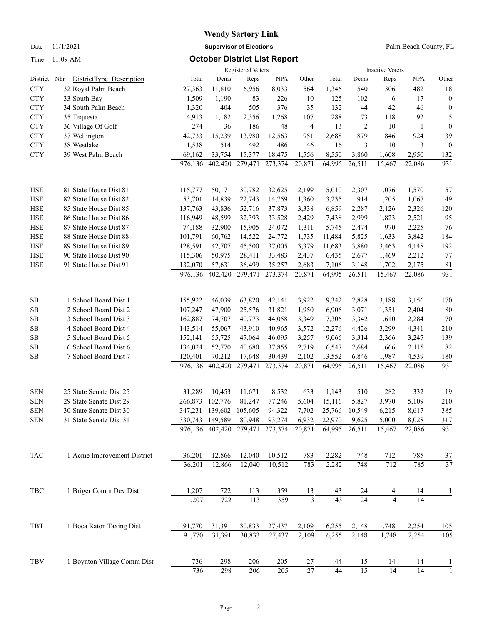## **Wendy Sartory Link** Date 11/1/2021 **Supervisor of Elections** Palm Beach County, FL

### Time 11:09 AM **October District List Report**

|              |                             | <b>Registered Voters</b> |                         |         |            |                 |                 | <b>Inactive Voters</b> |                |                 |                  |  |  |
|--------------|-----------------------------|--------------------------|-------------------------|---------|------------|-----------------|-----------------|------------------------|----------------|-----------------|------------------|--|--|
| District Nbr | DistrictType Description    | <b>Total</b>             | Dems                    | Reps    | <b>NPA</b> | Other           | Total           | Dems                   | Reps           | <b>NPA</b>      | Other            |  |  |
| <b>CTY</b>   | 32 Royal Palm Beach         | 27,363                   | 11,810                  | 6,956   | 8,033      | 564             | 1,346           | 540                    | 306            | 482             | 18               |  |  |
| <b>CTY</b>   | 33 South Bay                | 1,509                    | 1,190                   | 83      | 226        | 10              | 125             | 102                    | 6              | 17              | $\boldsymbol{0}$ |  |  |
| <b>CTY</b>   | 34 South Palm Beach         | 1,320                    | 404                     | 505     | 376        | 35              | 132             | 44                     | 42             | 46              | $\boldsymbol{0}$ |  |  |
| <b>CTY</b>   | 35 Tequesta                 | 4,913                    | 1,182                   | 2,356   | 1,268      | 107             | 288             | 73                     | 118            | 92              | 5                |  |  |
| <b>CTY</b>   | 36 Village Of Golf          | 274                      | 36                      | 186     | 48         | 4               | 13              | $\overline{2}$         | 10             | $\mathbf{1}$    | $\boldsymbol{0}$ |  |  |
| <b>CTY</b>   | 37 Wellington               | 42,733                   | 15,239                  | 13,980  | 12,563     | 951             | 2,688           | 879                    | 846            | 924             | 39               |  |  |
| <b>CTY</b>   | 38 Westlake                 | 1,538                    | 514                     | 492     | 486        | 46              | 16              | 3                      | 10             | 3               | $\boldsymbol{0}$ |  |  |
| <b>CTY</b>   | 39 West Palm Beach          | 69,162                   | 33,754                  | 15,377  | 18,475     | 1,556           | 8,550           | 3,860                  | 1,608          | 2,950           | 132              |  |  |
|              |                             | 976,136                  | 402,420                 | 279,471 | 273,374    | 20,871          | 64,995          | 26,511                 | 15,467         | 22,086          | 931              |  |  |
| HSE          | 81 State House Dist 81      | 115,777                  | 50,171                  | 30,782  | 32,625     | 2,199           | 5,010           | 2,307                  | 1,076          | 1,570           | 57               |  |  |
| <b>HSE</b>   | 82 State House Dist 82      | 53,701                   | 14,839                  | 22,743  | 14,759     | 1,360           | 3,235           | 914                    | 1,205          | 1,067           | 49               |  |  |
| HSE          | 85 State House Dist 85      | 137,763                  | 43,836                  | 52,716  | 37,873     | 3,338           | 6,859           | 2,287                  | 2,126          | 2,326           | 120              |  |  |
| HSE          | 86 State House Dist 86      | 116,949                  | 48,599                  | 32,393  | 33,528     | 2,429           | 7,438           | 2,999                  | 1,823          | 2,521           | 95               |  |  |
| <b>HSE</b>   | 87 State House Dist 87      | 74,188                   | 32,900                  | 15,905  | 24,072     | 1,311           | 5,745           | 2,474                  | 970            | 2,225           | 76               |  |  |
| <b>HSE</b>   | 88 State House Dist 88      | 101,791                  | 60,762                  | 14,522  | 24,772     | 1,735           | 11,484          | 5,825                  | 1,633          | 3,842           | 184              |  |  |
| <b>HSE</b>   | 89 State House Dist 89      | 128,591                  | 42,707                  | 45,500  | 37,005     | 3,379           | 11,683          | 3,880                  | 3,463          | 4,148           | 192              |  |  |
| <b>HSE</b>   | 90 State House Dist 90      | 115,306                  | 50,975                  | 28,411  | 33,483     | 2,437           | 6,435           | 2,677                  | 1,469          | 2,212           | 77               |  |  |
| <b>HSE</b>   | 91 State House Dist 91      | 132,070                  | 57,631                  | 36,499  | 35,257     | 2,683           | 7,106           | 3,148                  | 1,702          | 2,175           | 81               |  |  |
|              |                             | 976,136                  | 402,420                 | 279,471 | 273,374    | 20,871          | 64,995          | 26,511                 | 15,467         | 22,086          | 931              |  |  |
| SB           | 1 School Board Dist 1       | 155,922                  | 46,039                  | 63,820  | 42,141     | 3,922           | 9,342           | 2,828                  | 3,188          | 3,156           | 170              |  |  |
| $\rm SB$     | 2 School Board Dist 2       | 107,247                  | 47,900                  | 25,576  | 31,821     | 1,950           | 6,906           | 3,071                  | 1,351          | 2,404           | 80               |  |  |
| SB           | 3 School Board Dist 3       | 162,887                  | 74,707                  | 40,773  | 44,058     | 3,349           | 7,306           | 3,342                  | 1,610          | 2,284           | 70               |  |  |
| <b>SB</b>    | 4 School Board Dist 4       | 143,514                  | 55,067                  | 43,910  | 40,965     | 3,572           | 12,276          | 4,426                  | 3,299          | 4,341           | 210              |  |  |
| SB           | 5 School Board Dist 5       | 152,141                  | 55,725                  | 47,064  | 46,095     | 3,257           | 9,066           | 3,314                  | 2,366          | 3,247           | 139              |  |  |
| ${\bf SB}$   | 6 School Board Dist 6       | 134,024                  | 52,770                  | 40,680  | 37,855     | 2,719           | 6,547           | 2,684                  | 1,666          | 2,115           | 82               |  |  |
| SB           | 7 School Board Dist 7       | 120,401                  | 70,212                  | 17,648  | 30,439     | 2,102           | 13,552          | 6,846                  | 1,987          | 4,539           | 180              |  |  |
|              |                             | 976,136                  | 402,420                 | 279,471 | 273,374    | 20,871          | 64,995          | 26,511                 | 15,467         | 22,086          | 931              |  |  |
| <b>SEN</b>   | 25 State Senate Dist 25     | 31,289                   | 10,453                  | 11,671  | 8,532      | 633             | 1,143           | 510                    | 282            | 332             | 19               |  |  |
| <b>SEN</b>   | 29 State Senate Dist 29     | 266,873                  | 102,776                 | 81,247  | 77,246     | 5,604           | 15,116          | 5,827                  | 3,970          | 5,109           | 210              |  |  |
| <b>SEN</b>   | 30 State Senate Dist 30     |                          | 347,231 139,602         | 105,605 | 94,322     | 7,702           | 25,766          | 10,549                 | 6,215          | 8,617           | 385              |  |  |
| <b>SEN</b>   | 31 State Senate Dist 31     |                          | 330,743 149,589         | 80,948  | 93,274     | 6,932           | 22,970          | 9,625                  | 5,000          | 8,028           | 317              |  |  |
|              |                             |                          | 976,136 402,420 279,471 |         | 273,374    | 20,871          | 64,995          | 26,511                 | 15,467         | 22,086          | 931              |  |  |
| <b>TAC</b>   | 1 Acme Improvement District | 36,201                   | 12,866                  | 12,040  | 10,512     | 783             | 2,282           | 748                    | 712            | 785             | 37               |  |  |
|              |                             | 36,201                   | 12,866                  | 12,040  | 10,512     | 783             | 2,282           | 748                    | 712            | 785             | 37               |  |  |
| TBC          | 1 Briger Comm Dev Dist      | 1,207                    | 722                     | 113     | 359        | 13              | 43              | 24                     | 4              | 14              | 1                |  |  |
|              |                             | 1,207                    | 722                     | 113     | 359        | $\overline{13}$ | $\overline{43}$ | 24                     | $\overline{4}$ | $\overline{14}$ |                  |  |  |
| TBT          | 1 Boca Raton Taxing Dist    | 91,770                   | 31,391                  | 30,833  | 27,437     | 2,109           | 6,255           | 2,148                  | 1,748          | 2,254           | 105              |  |  |
|              |                             | 91,770                   | 31,391                  | 30,833  | 27,437     | 2,109           | 6,255           | 2,148                  | 1,748          | 2,254           | 105              |  |  |
| TBV          | 1 Boynton Village Comm Dist | 736                      | 298                     | 206     | 205        | 27              | 44              | 15                     | 14             | 14              |                  |  |  |
|              |                             | 736                      | 298                     | 206     | 205        | $27\,$          | 44              | 15                     | 14             | 14              |                  |  |  |
|              |                             |                          |                         |         |            |                 |                 |                        |                |                 |                  |  |  |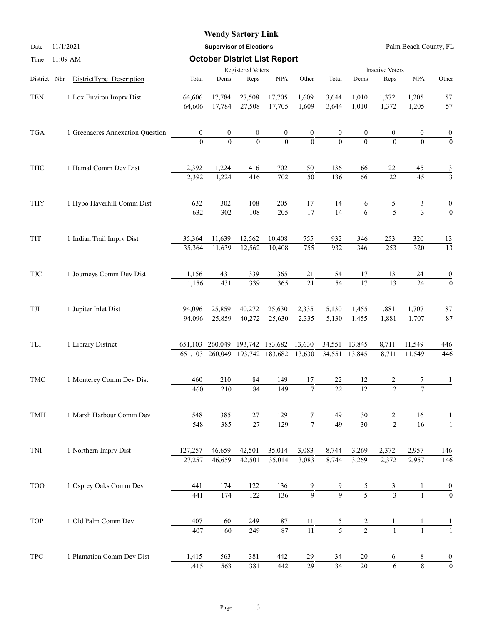## **Wendy Sartory Link**

Date 11/1/2021 **Supervisor of Elections** Palm Beach County, FL

| Time                     | 11:09 AM                         |                   | <b>October District List Report</b> |                         |                  |                  |                 |                        |                 |                 |                  |  |  |
|--------------------------|----------------------------------|-------------------|-------------------------------------|-------------------------|------------------|------------------|-----------------|------------------------|-----------------|-----------------|------------------|--|--|
|                          |                                  | Registered Voters |                                     |                         |                  |                  |                 | <b>Inactive Voters</b> |                 |                 |                  |  |  |
| District Nbr             | DistrictType Description         | Total             | Dems                                | Reps                    | NPA              | Other            | Total           | Dems                   | Reps            | NPA             | Other            |  |  |
| <b>TEN</b>               | 1 Lox Environ Imprv Dist         | 64,606            | 17,784                              | 27,508                  | 17,705           | 1,609            | 3,644           | 1,010                  | 1,372           | 1,205           | 57               |  |  |
|                          |                                  | 64,606            | 17,784                              | 27,508                  | 17,705           | 1,609            | 3,644           | 1,010                  | 1,372           | 1,205           | $\overline{57}$  |  |  |
| <b>TGA</b>               | 1 Greenacres Annexation Question | $\boldsymbol{0}$  | $\boldsymbol{0}$                    | $\boldsymbol{0}$        | $\boldsymbol{0}$ | $\frac{0}{0}$    |                 | $\boldsymbol{0}$       | 0               | 0               |                  |  |  |
|                          |                                  | $\Omega$          | $\theta$                            | $\theta$                | $\overline{0}$   |                  | $\Omega$        | $\theta$               | $\theta$        | $\Omega$        | $\frac{0}{0}$    |  |  |
| <b>THC</b>               | 1 Hamal Comm Dev Dist            | 2,392             | 1,224                               | 416                     | 702              | 50               | 136             | 66                     | 22              | 45              | $\frac{3}{3}$    |  |  |
|                          |                                  | 2,392             | 1,224                               | 416                     | 702              | $\overline{50}$  | 136             | 66                     | $\overline{22}$ | $\overline{45}$ |                  |  |  |
| THY                      | 1 Hypo Haverhill Comm Dist       | 632               | 302                                 | 108                     | 205              | 17               | 14              | 6                      | 5               | 3               |                  |  |  |
|                          |                                  | 632               | 302                                 | 108                     | 205              | $\overline{17}$  | $\overline{14}$ | 6                      | 5               | $\overline{3}$  | $\overline{0}$   |  |  |
| TIT                      | 1 Indian Trail Imprv Dist        | 35,364            | 11,639                              | 12,562                  | 10,408           | 755              | 932             | 346                    | 253             | 320             | 13               |  |  |
|                          |                                  | 35,364            | 11,639                              | 12,562                  | 10,408           | $\overline{755}$ | 932             | 346                    | 253             | 320             | $\overline{13}$  |  |  |
| $\ensuremath{{\rm TJC}}$ | 1 Journeys Comm Dev Dist         | 1,156             | 431                                 | 339                     | 365              | 21               | 54              | 17                     | 13              | 24              | $\boldsymbol{0}$ |  |  |
|                          |                                  | 1,156             | 431                                 | 339                     | 365              | $\overline{21}$  | $\overline{54}$ | $\overline{17}$        | 13              | 24              | $\overline{0}$   |  |  |
| TJI                      | 1 Jupiter Inlet Dist             | 94,096            | 25,859                              | 40,272                  | 25,630           | 2,335            | 5,130           | 1,455                  | 1,881           | 1,707           | 87               |  |  |
|                          |                                  | 94,096            | 25,859                              | 40,272                  | 25,630           | 2,335            | 5,130           | 1,455                  | 1,881           | 1,707           | $\overline{87}$  |  |  |
| TLI                      | 1 Library District               | 651,103           |                                     | 260,049 193,742 183,682 |                  | 13,630           | 34,551          | 13,845                 | 8,711           | 11,549          | 446              |  |  |
|                          |                                  |                   | 651,103 260,049                     |                         | 193,742 183,682  | 13,630           | 34,551          | 13,845                 | 8,711           | 11,549          | 446              |  |  |
| TMC                      | 1 Monterey Comm Dev Dist         | 460               | 210                                 | 84                      | 149              | 17               | 22              | 12                     | 2               | 7               |                  |  |  |
|                          |                                  | 460               | 210                                 | 84                      | 149              | $\overline{17}$  | $\overline{22}$ | 12                     | $\overline{2}$  | $\overline{7}$  |                  |  |  |
| TMH                      | 1 Marsh Harbour Comm Dev         | 548               | 385                                 | $27\,$                  | 129              | 7                | 49              | 30                     | 2               | 16              | 1                |  |  |
|                          |                                  | 548               | 385                                 | $\overline{27}$         | 129              | $\overline{7}$   | $\overline{49}$ | $\overline{30}$        | $\overline{2}$  | 16              | -1               |  |  |
| TNI                      | 1 Northern Imprv Dist            | 127,257           | 46,659                              | 42,501                  | 35,014           | 3,083            | 8,744           | 3,269                  | 2,372           | 2,957           | 146              |  |  |
|                          |                                  | 127,257           | 46,659                              | 42,501                  | 35,014           | 3,083            | 8,744           | 3,269                  | 2,372           | 2,957           | 146              |  |  |
| <b>TOO</b>               | 1 Osprey Oaks Comm Dev           | 441               | 174                                 | 122                     | 136              | 9                |                 | 5                      | 3               |                 |                  |  |  |
|                          |                                  | 441               | 174                                 | 122                     | 136              | $\overline{9}$   | $\overline{9}$  | $\overline{5}$         | $\overline{3}$  | $\mathbf{1}$    | $\overline{0}$   |  |  |
| TOP                      | 1 Old Palm Comm Dev              | 407               | 60                                  | 249                     | $87\,$           | 11               | 5               | $\overline{c}$         | 1               |                 |                  |  |  |
|                          |                                  | 407               | 60                                  | 249                     | 87               | $\overline{11}$  | $\overline{5}$  | $\overline{2}$         | $\mathbf{1}$    |                 |                  |  |  |
| $_{\mathrm{TPC}}$        | 1 Plantation Comm Dev Dist       | 1,415             | 563                                 | 381                     | 442              | 29               | 34              | 20                     | 6               | 8               | $\boldsymbol{0}$ |  |  |
|                          |                                  | 1,415             | 563                                 | 381                     | 442              | $\overline{29}$  | $\overline{34}$ | $\overline{20}$        | 6               | $\,8\,$         | $\overline{0}$   |  |  |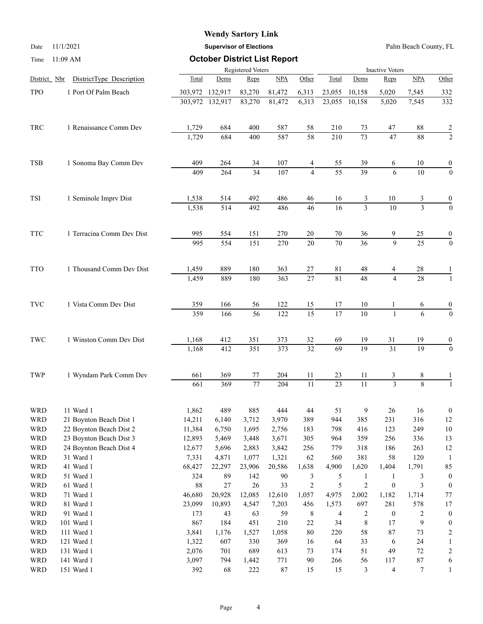## **Wendy Sartory Link**

Date 11/1/2021 **Supervisor of Elections** Palm Beach County, FL

| Time                     | 11:09 AM                  | <b>October District List Report</b> |                 |                        |                  |                 |                 |                 |                         |                          |                  |  |
|--------------------------|---------------------------|-------------------------------------|-----------------|------------------------|------------------|-----------------|-----------------|-----------------|-------------------------|--------------------------|------------------|--|
|                          |                           |                                     |                 | <b>Inactive Voters</b> |                  |                 |                 |                 |                         |                          |                  |  |
| District Nbr             | DistrictType Description  | Total                               | Dems            | Reps                   | NPA              | Other           | Total           | Dems            | Reps                    | $\underline{\text{NPA}}$ | Other            |  |
| <b>TPO</b>               | 1 Port Of Palm Beach      |                                     | 303,972 132,917 | 83,270                 | 81,472           | 6,313           | 23,055          | 10,158          | 5,020                   | 7,545                    | 332              |  |
|                          |                           |                                     | 303,972 132,917 | 83,270                 | 81,472           | 6,313           | 23,055          | 10,158          | 5,020                   | 7,545                    | 332              |  |
| TRC                      | 1 Renaissance Comm Dev    | 1,729                               | 684             | 400                    | 587              | 58              | 210             | 73              | 47                      | 88                       |                  |  |
|                          |                           | 1,729                               | 684             | 400                    | 587              | 58              | 210             | 73              | 47                      | 88                       | $\frac{2}{2}$    |  |
| TSB                      | 1 Sonoma Bay Comm Dev     | 409                                 | 264             | 34                     | 107              | 4               | 55              | 39              | 6                       | 10                       | $\boldsymbol{0}$ |  |
|                          |                           | 409                                 | 264             | 34                     | 107              | 4               | $\overline{55}$ | $\overline{39}$ | 6                       | 10                       | $\mathbf{0}$     |  |
| <b>TSI</b>               | 1 Seminole Imprv Dist     | 1,538                               | 514             | 492                    | 486              | $46\,$          | 16              | 3               | 10                      | $\mathfrak{Z}$           | $\boldsymbol{0}$ |  |
|                          |                           | 1,538                               | 514             | 492                    | 486              | $\overline{46}$ | 16              | $\overline{3}$  | $\overline{10}$         | $\overline{3}$           | $\overline{0}$   |  |
| <b>TTC</b>               | 1 Terracina Comm Dev Dist | 995                                 | 554             | 151                    | 270              | 20              | 70              | 36              | 9                       | 25                       | $\boldsymbol{0}$ |  |
|                          |                           | 995                                 | 554             | 151                    | 270              | 20              | 70              | $\overline{36}$ | $\overline{9}$          | $\overline{25}$          | $\boldsymbol{0}$ |  |
| <b>TTO</b>               | 1 Thousand Comm Dev Dist  | 1,459                               | 889             | 180                    | 363              | 27              | 81              | 48              | 4                       | 28                       |                  |  |
|                          |                           | 1,459                               | 889             | 180                    | 363              | 27              | 81              | 48              | $\overline{4}$          | 28                       | 1                |  |
| <b>TVC</b>               | 1 Vista Comm Dev Dist     | 359                                 | 166             | 56                     | 122              | 15              | 17              | 10              | 1                       | 6                        | $\boldsymbol{0}$ |  |
|                          |                           | 359                                 | 166             | 56                     | $\overline{122}$ | $\overline{15}$ | $\overline{17}$ | 10              | $\mathbf{1}$            | 6                        | $\overline{0}$   |  |
| TWC                      | 1 Winston Comm Dev Dist   | 1,168                               | 412             | 351                    | 373              | 32              | 69              | 19              | 31                      | 19                       | $\boldsymbol{0}$ |  |
|                          |                           | 1,168                               | 412             | 351                    | 373              | $\overline{32}$ | $\overline{69}$ | 19              | $\overline{31}$         | $\overline{19}$          | $\boldsymbol{0}$ |  |
| TWP                      | 1 Wyndam Park Comm Dev    | 661                                 | 369             | $77\,$                 | 204              | 11              | 23              | 11              | 3                       | 8                        |                  |  |
|                          |                           | 661                                 | 369             | 77                     | 204              | 11              | 23              | $\overline{11}$ | $\overline{\mathbf{3}}$ | $\overline{8}$           | $\mathbf{1}$     |  |
| <b>WRD</b>               | 11 Ward 1                 | 1,862                               | 489             | 885                    | 444              | $44\,$          | 51              | 9               | $26\,$                  | 16                       | $\boldsymbol{0}$ |  |
| <b>WRD</b>               | 21 Boynton Beach Dist 1   | 14,211                              | 6,140           | 3,712                  | 3,970            | 389             | 944             | 385             | 231                     | 316                      | 12               |  |
| <b>WRD</b>               | 22 Boynton Beach Dist 2   | 11,384                              | 6,750           | 1,695                  | 2,756            | 183             | 798             | 416             | 123                     | 249                      | $10\,$           |  |
| <b>WRD</b>               | 23 Boynton Beach Dist 3   | 12,893                              | 5,469           | 3,448                  | 3,671            | 305             | 964             | 359             | 256                     | 336                      | 13               |  |
| <b>WRD</b>               | 24 Boynton Beach Dist 4   | 12,677                              | 5,696           | 2,883                  | 3,842            | 256             | 779             | 318             | 186                     | 263                      | 12               |  |
| <b>WRD</b><br><b>WRD</b> | 31 Ward 1<br>41 Ward 1    | 7,331<br>68,427                     | 4,871<br>22,297 | 1,077<br>23,906        | 1,321<br>20,586  | 62<br>1,638     | 560<br>4,900    | 381<br>1,620    | 58<br>1,404             | 120<br>1,791             | 85               |  |
| <b>WRD</b>               | 51 Ward 1                 | 324                                 | 89              | 142                    | 90               | 3               | 5               | $\mathbf{1}$    | $\mathbf{1}$            | 3                        | $\boldsymbol{0}$ |  |
| <b>WRD</b>               | 61 Ward 1                 | 88                                  | 27              | 26                     | 33               | $\overline{c}$  | 5               | $\overline{c}$  | $\boldsymbol{0}$        | 3                        | $\boldsymbol{0}$ |  |
| <b>WRD</b>               | 71 Ward 1                 | 46,680                              | 20,928          | 12,085                 | 12,610           | 1,057           | 4,975           | 2,002           | 1,182                   | 1,714                    | $77\,$           |  |
| <b>WRD</b>               | 81 Ward 1                 | 23,099                              | 10,893          | 4,547                  | 7,203            | 456             | 1,573           | 697             | 281                     | 578                      | $17\,$           |  |
| <b>WRD</b>               | 91 Ward 1                 | 173                                 | 43              | 63                     | 59               | $\,8\,$         | 4               | 2               | $\boldsymbol{0}$        | $\overline{c}$           | $\boldsymbol{0}$ |  |
| <b>WRD</b>               | 101 Ward 1                | 867                                 | 184             | 451                    | 210              | 22              | 34              | $\,$ $\,$       | 17                      | 9                        | $\boldsymbol{0}$ |  |
| <b>WRD</b>               | 111 Ward 1                | 3,841                               | 1,176           | 1,527                  | 1,058            | $80\,$          | 220             | 58              | $87\,$                  | 73                       | 2                |  |
| <b>WRD</b>               | 121 Ward 1                | 1,322                               | 607             | 330                    | 369              | 16              | 64              | 33              | 6                       | 24                       |                  |  |
| <b>WRD</b>               | 131 Ward 1                | 2,076                               | 701             | 689                    | 613              | 73              | 174             | 51              | 49                      | $72\,$                   | 2                |  |
| <b>WRD</b>               | 141 Ward 1                | 3,097                               | 794             | 1,442                  | 771              | $90\,$          | 266             | 56              | 117                     | $87\,$                   | 6                |  |
| <b>WRD</b>               | 151 Ward 1                | 392                                 | 68              | $222\,$                | $87\,$           | 15              | 15              | 3               | 4                       | 7                        |                  |  |